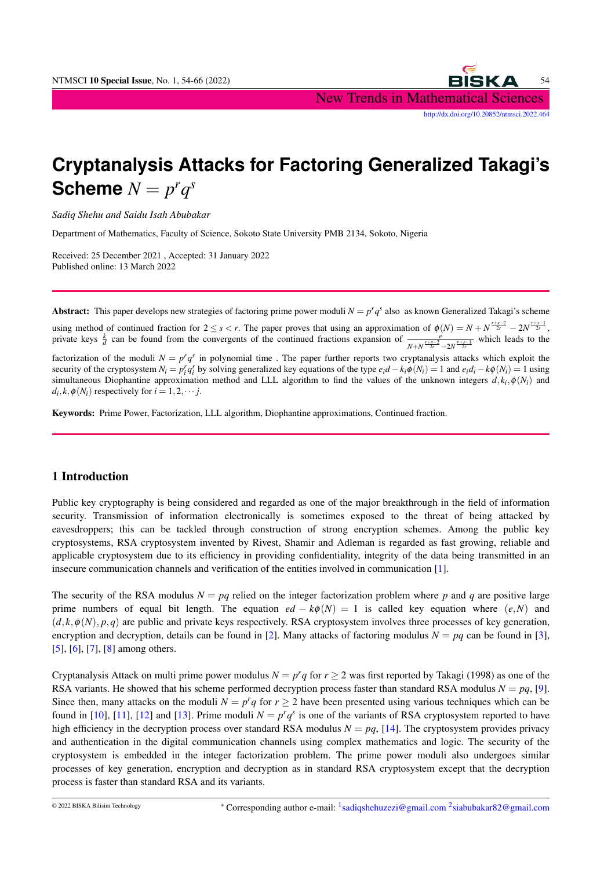

# **Cryptanalysis Attacks for Factoring Generalized Takagi's Scheme**  $N = p^r q^s$

*Sadiq Shehu and Saidu Isah Abubakar*

Department of Mathematics, Faculty of Science, Sokoto State University PMB 2134, Sokoto, Nigeria

Received: 25 December 2021 , Accepted: 31 January 2022 Published online: 13 March 2022

Abstract: This paper develops new strategies of factoring prime power moduli  $N = p^r q^s$  also as known Generalized Takagi's scheme

using method of continued fraction for  $2 \le s < r$ . The paper proves that using an approximation of  $\phi(N) = N + N^{\frac{r+s-2}{2r}} - 2N^{\frac{r+s-1}{2r}}$ private keys  $\frac{k}{d}$  can be found from the convergents of the continued fractions expansion of  $\frac{e^{i\theta}}{N! M^{1+\frac{3-2}{2}}}$  $\frac{e}{N+N}$  $\frac{r+s-2}{2r^2}$  –2*N* $\frac{r+s-1}{2r}$  which leads to the

factorization of the moduli  $N = p^r q^s$  in polynomial time. The paper further reports two cryptanalysis attacks which exploit the security of the cryptosystem  $N_i = p_i^r q_i^s$  by solving generalized key equations of the type  $e_i d - k_i \phi(N_i) = 1$  and  $e_i d_i - k \phi(N_i) = 1$  using simultaneous Diophantine approximation method and LLL algorithm to find the values of the unknown integers  $d, k_i, \phi(N_i)$  and  $d_i, k, \phi(N_i)$  respectively for  $i = 1, 2, \dots$  *j*.

Keywords: Prime Power, Factorization, LLL algorithm, Diophantine approximations, Continued fraction.

## 1 Introduction

Public key cryptography is being considered and regarded as one of the major breakthrough in the field of information security. Transmission of information electronically is sometimes exposed to the threat of being attacked by eavesdroppers; this can be tackled through construction of strong encryption schemes. Among the public key cryptosystems, RSA cryptosystem invented by Rivest, Shamir and Adleman is regarded as fast growing, reliable and applicable cryptosystem due to its efficiency in providing confidentiality, integrity of the data being transmitted in an insecure communication channels and verification of the entities involved in communication [\[1\]](#page-11-0).

The security of the RSA modulus  $N = pq$  relied on the integer factorization problem where p and q are positive large prime numbers of equal bit length. The equation  $ed - k\phi(N) = 1$  is called key equation where  $(e, N)$  and  $(d, k, \phi(N), p, q)$  are public and private keys respectively. RSA cryptosystem involves three processes of key generation, encryption and decryption, details can be found in [\[2\]](#page-11-1). Many attacks of factoring modulus  $N = pq$  can be found in [\[3\]](#page-11-2), [\[5\]](#page-11-3), [\[6\]](#page-11-4), [\[7\]](#page-11-5), [\[8\]](#page-11-6) among others.

Cryptanalysis Attack on multi prime power modulus  $N = p^r q$  for  $r \ge 2$  was first reported by Takagi (1998) as one of the RSA variants. He showed that his scheme performed decryption process faster than standard RSA modulus  $N = pq$ , [\[9\]](#page-12-0). Since then, many attacks on the moduli  $N = p^r q$  for  $r \ge 2$  have been presented using various techniques which can be found in [\[10\]](#page-12-1), [\[11\]](#page-12-2), [\[12\]](#page-12-3) and [\[13\]](#page-12-4). Prime moduli  $N = p^r q^s$  is one of the variants of RSA cryptosystem reported to have high efficiency in the decryption process over standard RSA modulus  $N = pq$ , [\[14\]](#page-12-5). The cryptosystem provides privacy and authentication in the digital communication channels using complex mathematics and logic. The security of the cryptosystem is embedded in the integer factorization problem. The prime power moduli also undergoes similar processes of key generation, encryption and decryption as in standard RSA cryptosystem except that the decryption process is faster than standard RSA and its variants.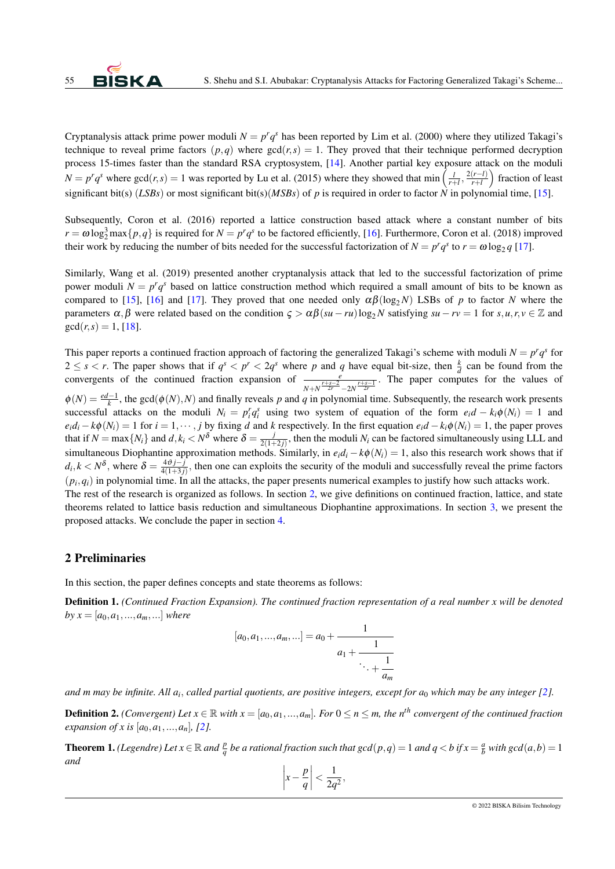Cryptanalysis attack prime power moduli  $N = p^r q^s$  has been reported by Lim et al. (2000) where they utilized Takagi's technique to reveal prime factors  $(p,q)$  where  $gcd(r,s) = 1$ . They proved that their technique performed decryption process 15-times faster than the standard RSA cryptosystem, [\[14\]](#page-12-5). Another partial key exposure attack on the moduli  $N = p^r q^s$  where  $gcd(r, s) = 1$  was reported by Lu et al. (2015) where they showed that  $min\left(\frac{l}{r+l}, \frac{2(r-l)}{r+l}\right)$  $\frac{(r-l)}{r+l}$  fraction of least significant bit(s) (*LSBs*) or most significant bit(s)(*MSBs*) of *p* is required in order to factor  $\hat{N}$  in polynomial time, [\[15\]](#page-12-6).

Subsequently, Coron et al. (2016) reported a lattice construction based attack where a constant number of bits  $r = \omega \log_2^3 \max\{p, q\}$  is required for  $N = p^r q^s$  to be factored efficiently, [\[16\]](#page-12-7). Furthermore, Coron et al. (2018) improved their work by reducing the number of bits needed for the successful factorization of  $N = p^r q^s$  to  $r = \omega \log_2 q$  [\[17\]](#page-12-8).

Similarly, Wang et al. (2019) presented another cryptanalysis attack that led to the successful factorization of prime power moduli  $N = p^r q^s$  based on lattice construction method which required a small amount of bits to be known as compared to [\[15\]](#page-12-6), [\[16\]](#page-12-7) and [\[17\]](#page-12-8). They proved that one needed only  $\alpha\beta(\log_2 N)$  LSBs of *p* to factor *N* where the parameters  $\alpha, \beta$  were related based on the condition  $\zeta > \alpha\beta(su - ru)\log_2 N$  satisfying  $su - rv = 1$  for  $s, u, r, v \in \mathbb{Z}$  and  $gcd(r, s) = 1$ , [\[18\]](#page-12-9).

This paper reports a continued fraction approach of factoring the generalized Takagi's scheme with moduli  $N = p^r q^s$  for  $2 \leq s < r$ . The paper shows that if  $q^s < p^r < 2q^s$  where p and q have equal bit-size, then  $\frac{k}{d}$  can be found from the convergents of the continued fraction expansion of  $\frac{e^{+\frac{r}{2r}}}{N+N^{\frac{r+s-1}{2r}}-2N^{\frac{r+s-1}{2r}}}$ . The paper computes for the values of  $\phi(N) = \frac{ed-1}{k}$ , the gcd( $\phi(N)$ , N) and finally reveals p and q in polynomial time. Subsequently, the research work presents successful attacks on the moduli  $N_i = p_i^r q_i^s$  using two system of equation of the form  $e_i d - k_i \phi(N_i) = 1$  and  $e_i d_i - k\phi(N_i) = 1$  for  $i = 1, \dots, j$  by fixing d and k respectively. In the first equation  $e_i d - k_i \phi(N_i) = 1$ , the paper proves that if  $N = \max\{N_i\}$  and  $d, k_i < N^{\delta}$  where  $\delta = \frac{j}{2(1 + \delta)}$  $\frac{J}{2(1+2j)}$ , then the moduli  $N_i$  can be factored simultaneously using LLL and simultaneous Diophantine approximation methods. Similarly, in  $e_i d_i - k\phi(N_i) = 1$ , also this research work shows that if  $d_i, k < N^{\delta}$ , where  $\delta = \frac{4\vartheta j - j}{4(1+3j)}$ , then one can exploits the security of the moduli and successfully reveal the prime factors  $(p_i, q_i)$  in polynomial time. In all the attacks, the paper presents numerical examples to justify how such attacks work. The rest of the research is organized as follows. In section [2,](#page-1-0) we give definitions on continued fraction, lattice, and state theorems related to lattice basis reduction and simultaneous Diophantine approximations. In section [3,](#page-2-0) we present the proposed attacks. We conclude the paper in section [4.](#page-11-7)

#### <span id="page-1-0"></span>2 Preliminaries

In this section, the paper defines concepts and state theorems as follows:

Definition 1. *(Continued Fraction Expansion). The continued fraction representation of a real number x will be denoted by*  $x = [a_0, a_1, ..., a_m, ...]$  *where* 

$$
[a_0, a_1, ..., a_m, ...] = a_0 + \cfrac{1}{a_1 + \cfrac{1}{\ddots + \cfrac{1}{a_m}}}
$$

*and m may be infinite. All a<sup>i</sup>* , *called partial quotients, are positive integers, except for a*<sup>0</sup> *which may be any integer [\[2\]](#page-11-1).*

**Definition 2.** *(Convergent)* Let  $x \in \mathbb{R}$  *with*  $x = [a_0, a_1, ..., a_m]$ *. For*  $0 \le n \le m$ *, the n<sup>th</sup> convergent of the continued fraction expansion of x is*  $[a_0, a_1, ..., a_n]$ , [\[2\]](#page-11-1)*.* 

**Theorem 1.** *(Legendre)* Let  $x \in \mathbb{R}$  and  $\frac{p}{q}$  be a rational fraction such that  $gcd(p,q) = 1$  and  $q < b$  if  $x = \frac{a}{b}$  with  $gcd(a,b) = 1$ *and*

$$
\left|x - \frac{p}{q}\right| < \frac{1}{2q^2},
$$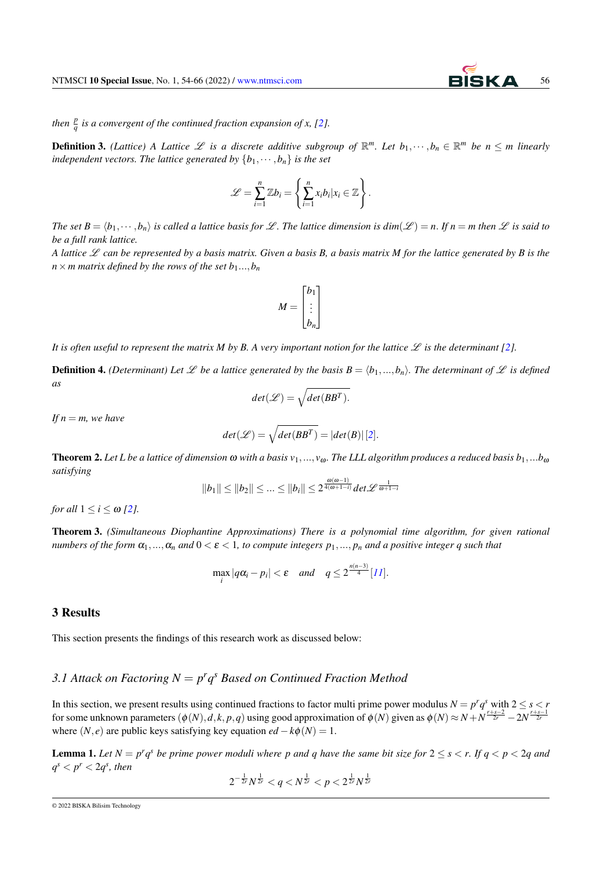*then*  $\frac{p}{q}$  *is a convergent of the continued fraction expansion of x, [\[2\]](#page-11-1).* 

**Definition 3.** (Lattice) A Lattice  $\mathscr L$  is a discrete additive subgroup of  $\mathbb R^m$ . Let  $b_1,\dots,b_n\in\mathbb R^m$  be  $n\leq m$  linearly *independent vectors. The lattice generated by*  $\{b_1, \dots, b_n\}$  *is the set* 

$$
\mathscr{L} = \sum_{i=1}^n \mathbb{Z} b_i = \left\{ \sum_{i=1}^n x_i b_i | x_i \in \mathbb{Z} \right\}.
$$

*The set*  $B = \langle b_1, \dots, b_n \rangle$  *is called a lattice basis for*  $\mathcal{L}$ *. The lattice dimension is*  $dim(\mathcal{L}) = n$ *. If*  $n = m$  *then*  $\mathcal{L}$  *is said to be a full rank lattice.*

*A lattice*  $\mathscr L$  *can be represented by a basis matrix. Given a basis B, a basis matrix M for the lattice generated by B is the*  $n \times m$  matrix defined by the rows of the set  $b_1...$ ,  $b_n$ 

$$
M = \begin{bmatrix} b_1 \\ \vdots \\ b_n \end{bmatrix}
$$

It is often useful to represent the matrix M by B. A very important notion for the lattice  $\mathscr L$  is the determinant [\[2\]](#page-11-1).

**Definition 4.** *(Determinant) Let*  $\mathcal{L}$  *be a lattice generated by the basis*  $B = \langle b_1, ..., b_n \rangle$ *. The determinant of*  $\mathcal{L}$  *is defined as*

$$
det(\mathcal{L}) = \sqrt{det(BB^T)}.
$$

*If*  $n = m$ *, we have* 

$$
det(\mathcal{L}) = \sqrt{det(BB^T)} = |det(B)| [2].
$$

**Theorem 2.** Let L be a lattice of dimension  $\omega$  with a basis  $v_1,..., v_\omega$ . The LLL algorithm produces a reduced basis  $b_1,...b_\omega$ *satisfying*

$$
||b_1|| \le ||b_2|| \le ... \le ||b_i|| \le 2^{\frac{\omega(\omega-1)}{4(\omega+1-i)}} det \mathcal{L}^{\frac{1}{\omega+1-i}}
$$

*for all*  $1 \leq i \leq \omega$  [\[2\]](#page-11-1)*.* 

<span id="page-2-1"></span>Theorem 3. *(Simultaneous Diophantine Approximations) There is a polynomial time algorithm, for given rational numbers of the form*  $\alpha_1, ..., \alpha_n$  *and*  $0 < \varepsilon < 1$ *, to compute integers*  $p_1, ..., p_n$  *and a positive integer q such that* 

$$
\max_{i} |q\alpha_i - p_i| < \varepsilon \quad \text{and} \quad q \leq 2^{\frac{n(n-3)}{4}} [11].
$$

#### <span id="page-2-0"></span>3 Results

This section presents the findings of this research work as discussed below:

## 3.1 Attack on Factoring  $N = p^r q^s$  Based on Continued Fraction Method

In this section, we present results using continued fractions to factor multi prime power modulus  $N = p^r q^s$  with  $2 \le s < r$ for some unknown parameters  $(\phi(N), d, k, p, q)$  using good approximation of  $\phi(N)$  given as  $\phi(N) \approx N + N^{\frac{r+s-2}{2r}} - 2N^{\frac{r+s-1}{2r}}$ where  $(N, e)$  are public keys satisfying key equation  $ed - k\phi(N) = 1$ .

**Lemma 1.** Let  $N = p^r q^s$  be prime power moduli where p and q have the same bit size for  $2 \le s \le r$ . If  $q \le p \le 2q$  and  $q^s < p^r < 2q^s$ , then

$$
2^{-\frac{1}{2r}}N^{\frac{1}{2r}} < q < N^{\frac{1}{2r}} < p < 2^{\frac{1}{2r}}N^{\frac{1}{2r}}
$$

<sup>© 2022</sup> BISKA Bilisim Technology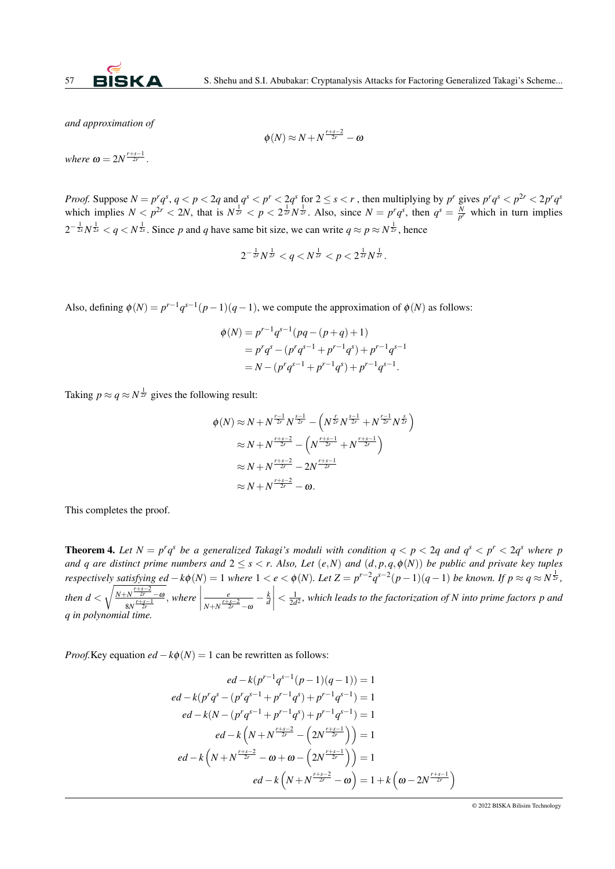

*and approximation of*

$$
\phi(N) \approx N + N^{\frac{r+s-2}{2r}} - \omega
$$

*where*  $\omega = 2N^{\frac{r+s-1}{2r}}$ .

*Proof.* Suppose  $N = p^r q^s$ ,  $q < p < 2q$  and  $q^s < p^r < 2q^s$  for  $2 \le s < r$ , then multiplying by  $p^r$  gives  $p^r q^s < p^{2r} < 2p^r q^s$ which implies  $N < p^{2r} < 2N$ , that is  $N^{\frac{1}{2r}} < p < 2^{\frac{1}{2r}}N^{\frac{1}{2r}}$ . Also, since  $N = p^r q^s$ , then  $q^s = \frac{N}{p^r}$  which in turn implies  $2^{-\frac{1}{2s}}N^{\frac{1}{2s}} < q < N^{\frac{1}{2s}}$ . Since p and q have same bit size, we can write  $q \approx p \approx N^{\frac{1}{2s}}$ , hence

$$
2^{-\frac{1}{2r}}N^{\frac{1}{2r}} < q < N^{\frac{1}{2r}} < p < 2^{\frac{1}{2r}}N^{\frac{1}{2r}}.
$$

Also, defining  $\phi(N) = p^{r-1}q^{s-1}(p-1)(q-1)$ , we compute the approximation of  $\phi(N)$  as follows:

$$
\begin{aligned} \phi(N) &= p^{r-1}q^{s-1}(pq - (p+q) + 1) \\ &= p^r q^s - (p^r q^{s-1} + p^{r-1}q^s) + p^{r-1}q^{s-1} \\ &= N - (p^r q^{s-1} + p^{r-1}q^s) + p^{r-1}q^{s-1} .\end{aligned}
$$

Taking  $p \approx q \approx N^{\frac{1}{2r}}$  gives the following result:

$$
\begin{split} \phi(N) &\approx N + N^{\frac{r-1}{2r}} N^{\frac{s-1}{2r}} - \left( N^{\frac{r}{2r}} N^{\frac{s-1}{2r}} + N^{\frac{r-1}{2r}} N^{\frac{s}{2r}} \right) \\ &\approx N + N^{\frac{r+s-2}{2r}} - \left( N^{\frac{r+s-1}{2r}} + N^{\frac{r+s-1}{2r}} \right) \\ &\approx N + N^{\frac{r+s-2}{2r}} - 2N^{\frac{r+s-1}{2r}} \\ &\approx N + N^{\frac{r+s-2}{2r}} - \omega. \end{split}
$$

This completes the proof.

<span id="page-3-0"></span>**Theorem 4.** Let  $N = p^r q^s$  be a generalized Takagi's moduli with condition  $q < p < 2q$  and  $q^s < p^r < 2q^s$  where p *and q* are distinct prime numbers and  $2 \leq s < r$ . Also, Let  $(e, N)$  and  $(d, p, q, \phi(N))$  be public and private key tuples respectively satisfying ed  $-k\phi(N)=1$  where  $1 < e < \phi(N)$ . Let  $Z = p^{r-2}q^{s-2}(p-1)(q-1)$  be known. If  $p \approx q \approx N^{\frac{1}{2r}}$ , *then*  $d < \sqrt{\frac{N+N^{\frac{r+s-2}{2r}}-a}{r+s-1}}$  $\frac{N^{\frac{r+s-2}{2r}}-\omega}{8N^{\frac{r+s-1}{2r}}}$ , where *e*  $\sqrt{N+N}\frac{r+s-2}{2r}-\alpha$ − *k d*  $\begin{array}{c} \hline \end{array}$  $\frac{1}{2}$  $\frac{1}{2d^2}$ , which leads to the factorization of N into prime factors p and *q in polynomial time.*

*Proof.*Key equation  $ed - k\phi(N) = 1$  can be rewritten as follows:

$$
ed - k(p^{r-1}q^{s-1}(p-1)(q-1)) = 1
$$
  
\n
$$
ed - k(p^r q^s - (p^r q^{s-1} + p^{r-1} q^s) + p^{r-1} q^{s-1}) = 1
$$
  
\n
$$
ed - k(N - (p^r q^{s-1} + p^{r-1} q^s) + p^{r-1} q^{s-1}) = 1
$$
  
\n
$$
ed - k\left(N + N^{\frac{r+s-2}{2r}} - \left(2N^{\frac{r+s-1}{2r}}\right)\right) = 1
$$
  
\n
$$
ed - k\left(N + N^{\frac{r+s-2}{2r}} - \omega + \omega - \left(2N^{\frac{r+s-1}{2r}}\right)\right) = 1
$$
  
\n
$$
ed - k\left(N + N^{\frac{r+s-2}{2r}} - \omega\right) = 1 + k\left(\omega - 2N^{\frac{r+s-1}{2r}}\right)
$$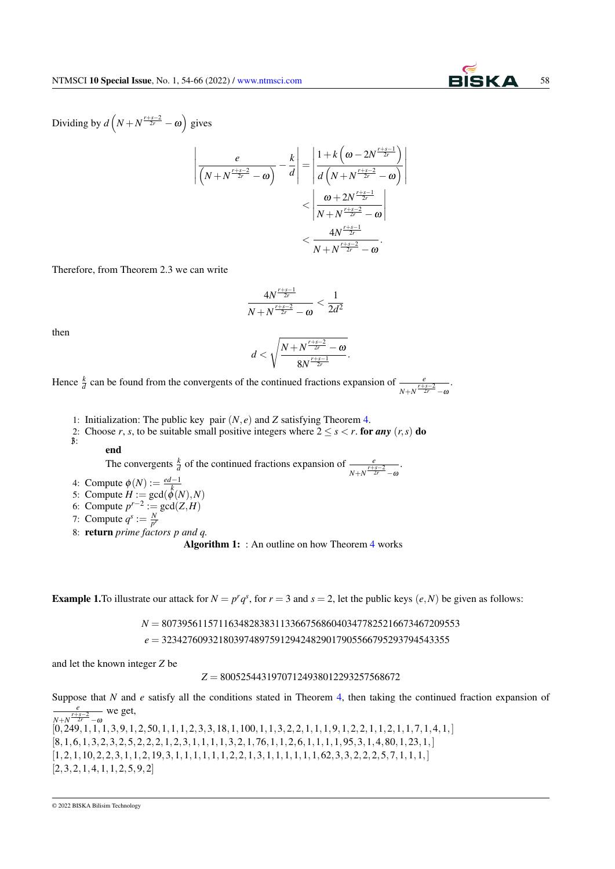

Dividing by  $d\left(N+N^{\frac{r+s-2}{2r}}-\omega\right)$  gives

$$
\left| \frac{e}{\left(N + N^{\frac{r+s-2}{2r}} - \omega\right)} - \frac{k}{d} \right| = \left| \frac{1 + k\left(\omega - 2N^{\frac{r+s-1}{2r}}\right)}{d\left(N + N^{\frac{r+s-2}{2r}} - \omega\right)} \right|
$$
  
< 
$$
< \left| \frac{\omega + 2N^{\frac{r+s-1}{2r}}}{N + N^{\frac{r+s-1}{2r}} - \omega} \right|
$$
  
< 
$$
< \frac{4N^{\frac{r+s-1}{2r}}}{N + N^{\frac{r+s-2}{2r}} - \omega}.
$$

Therefore, from Theorem 2.3 we can write

$$
\frac{4N^{\frac{r+s-1}{2r}}}{N+N^{\frac{r+s-2}{2r}}-\omega}<\frac{1}{2d^2}
$$

then

$$
d < \sqrt{\frac{N + N^{\frac{r+s-2}{2r}} - \omega}{8N^{\frac{r+s-1}{2r}}}}.
$$

Hence  $\frac{k}{d}$  can be found from the convergents of the continued fractions expansion of  $\frac{e}{N+N}\frac{r+s-2}{2r}-\alpha$ .

- <span id="page-4-0"></span>1: Initialization: The public key pair (*N*, *e*) and *Z* satisfying Theorem [4.](#page-3-0)
- 2: Choose *r*, *s*, to be suitable small positive integers where  $2 \le s < r$ . for *any*  $(r, s)$  do 3:

## end

The convergents  $\frac{k}{d}$  of the continued fractions expansion of  $\frac{e}{N+N}\frac{r+s-2}{2r}-\omega$ .

- 4: Compute  $\phi(N) := \frac{ed-1}{k}$
- 4. Compute  $\psi(N) := \frac{k}{k}$ <br>5: Compute  $H := \gcd(\phi(N), N)$
- 6: Compute  $p^{r-2}$  := gcd( $Z$ , *H*)
- 7: Compute  $q^s := \frac{N}{p^r}$
- 8: return *prime factors p and q.*

Algorithm 1: : An outline on how Theorem [4](#page-3-0) works

**Example 1.** To illustrate our attack for  $N = p^r q^s$ , for  $r = 3$  and  $s = 2$ , let the public keys  $(e, N)$  be given as follows:

*N* = 8073956115711634828383113366756860403477825216673467209553

*e* = 32342760932180397489759129424829017905566795293794543355

and let the known integer *Z* be

*Z* = 80052544319707124938012293257568672

Suppose that *N* and *e* satisfy all the conditions stated in Theorem [4,](#page-3-0) then taking the continued fraction expansion of *e*  $N+N^{\frac{r+s-2}{2r}}-\omega$ we get,  $[0,249,1,1,1,3,9,1,2,50,1,1,1,2,3,3,18,1,100,1,1,3,2,2,1,1,1,9,1,2,2,1,1,2,1,1,7,1,4,1,$ ]  $[8,1,6,1,3,2,3,2,5,2,2,2,1,2,3,1,1,1,1,3,2,1,76,1,1,2,6,1,1,1,1,95,3,1,4,80,1,23,1,]\$  $[1,2,1,10,2,2,3,1,1,2,19,3,1,1,1,1,1,1,2,2,1,3,1,1,1,1,1,62,3,3,2,2,2,5,7,1,1,1,1]$  $[2,3,2,1,4,1,1,2,5,9,2]$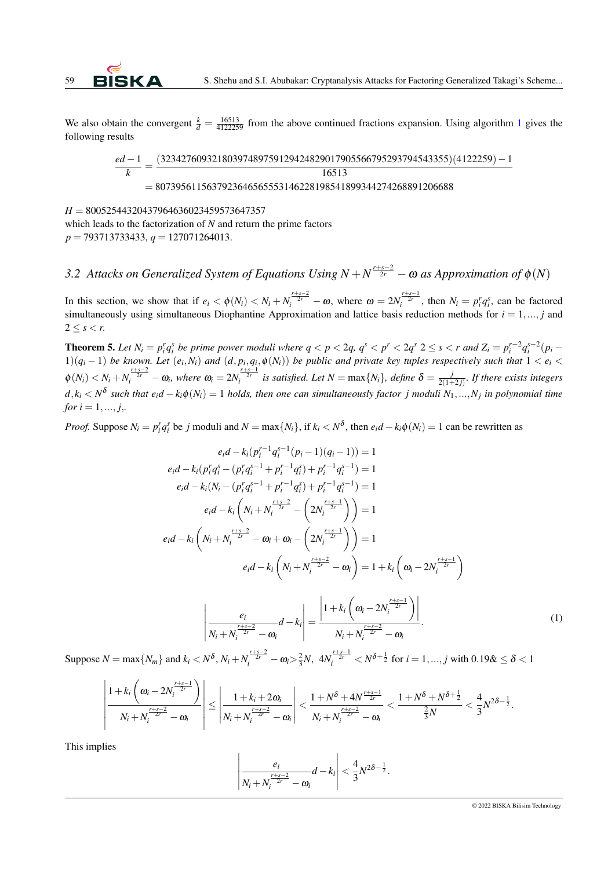We also obtain the convergent  $\frac{k}{d} = \frac{16513}{4122259}$  $\frac{k}{d} = \frac{16513}{4122259}$  $\frac{k}{d} = \frac{16513}{4122259}$  from the above continued fractions expansion. Using algorithm 1 gives the following results

$$
\frac{ed-1}{k} = \frac{(32342760932180397489759129424829017905566795293794543355)(4122259) - 1}{16513}
$$
  
= 8073956115637923646565553146228198541899344274268891206688

*H* = 80052544320437964636023459573647357 which leads to the factorization of *N* and return the prime factors *p* = 793713733433, *q* = 127071264013.

3.2 Attacks on Generalized System of Equations Using  $N + N^{\frac{r+s-2}{2r}} - \omega$  as Approximation of  $\phi(N)$ 

In this section, we show that if  $e_i < \phi(N_i) < N_i + N_i^{\frac{r+s-2}{2r}} - \omega$ , where  $\omega = 2N_i^{\frac{r+s-1}{2r}}$ , then  $N_i = p_i^r q_i^s$ , can be factored simultaneously using simultaneous Diophantine Approximation and lattice basis reduction methods for  $i = 1, ..., j$  and  $2 \leq s < r$ .

<span id="page-5-0"></span>**Theorem 5.** Let  $N_i = p_i^r q_i^s$  be prime power moduli where  $q < p < 2q$ ,  $q^s < p^r < 2q^s$   $2 \le s < r$  and  $Z_i = p_i^{r-2} q_i^{s-2} (p_i - q_i^s)$  $1/(q_i-1)$  be known. Let  $(e_i,N_i)$  and  $(d,p_i,q_i,\phi(N_i))$  be public and private key tuples respectively such that  $1 < e_i <$  $\phi(N_i) < N_i + N_i^{\frac{r+s-2}{2r}} - \omega_i$ , where  $\omega_i = 2N_i^{\frac{r+s-1}{2r}}$  is satisfied. Let  $N = \max\{N_i\}$ , define  $\delta = \frac{1}{2(1+\frac{1}{2r})^2}$  $\frac{J}{2(1+2j)}$ *. If there exists integers*  $d, k_i < N^{\delta}$  such that  $e_i d - k_i \phi(N_i) = 1$  holds, then one can simultaneously factor j moduli  $N_1, ..., N_j$  in polynomial time *for*  $i = 1, ..., j$ ,

*Proof.* Suppose  $N_i = p_i^r q_i^s$  be j moduli and  $N = \max\{N_i\}$ , if  $k_i < N^{\delta}$ , then  $e_i d - k_i \phi(N_i) = 1$  can be rewritten as

$$
e_{i}d - k_{i}(p_{i}^{r-1}q_{i}^{s-1}(p_{i}-1)(q_{i}-1)) = 1
$$
\n
$$
e_{i}d - k_{i}(p_{i}^{r}q_{i}^{s} - (p_{i}^{r}q_{i}^{s-1} + p_{i}^{r-1}q_{i}^{s}) + p_{i}^{r-1}q_{i}^{s-1}) = 1
$$
\n
$$
e_{i}d - k_{i}(N_{i} - (p_{i}^{r}q_{i}^{s-1} + p_{i}^{r-1}q_{i}^{s}) + p_{i}^{r-1}q_{i}^{s-1}) = 1
$$
\n
$$
e_{i}d - k_{i}\left(N_{i} + N_{i}^{\frac{r+s-2}{2r}} - \left(2N_{i}^{\frac{r+s-1}{2r}}\right)\right) = 1
$$
\n
$$
e_{i}d - k_{i}\left(N_{i} + N_{i}^{\frac{r+s-2}{2r}} - \omega_{i} + \omega_{i} - \left(2N_{i}^{\frac{r+s-1}{2r}}\right)\right) = 1
$$
\n
$$
e_{i}d - k_{i}\left(N_{i} + N_{i}^{\frac{r+s-2}{2r}} - \omega_{i}\right) = 1 + k_{i}\left(\omega_{i} - 2N_{i}^{\frac{r+s-1}{2r}}\right)
$$
\n
$$
\frac{e_{i}}{N_{i} + N_{i}^{\frac{r+s-2}{2r}} - \omega_{i}}d - k_{i}\right| = \frac{\left|1 + k_{i}\left(\omega_{i} - 2N_{i}^{\frac{r+s-1}{2r}}\right)\right|}{N_{i} + N_{i}^{\frac{r+s-2}{2r}} - \omega_{i}}.
$$
\n(1)

Suppose  $N = \max\{N_m\}$  and  $k_i < N^{\delta}$ ,  $N_i + N_i^{\frac{r+s-2}{2r}} - \omega_i > \frac{2}{3}N$ ,  $4N_i^{\frac{r+s-1}{2r}} < N^{\delta + \frac{1}{2}}$  for  $i = 1, ..., j$  with  $0.198 \le \delta < 1$ 

 $\bigg\}$  $\overline{\phantom{a}}$  $\overline{\phantom{a}}$  $\overline{\phantom{a}}$  $\overline{\phantom{a}}$  $\vert$ 

$$
\left|\frac{1+k_i\left(\omega_i-2N_i^{\frac{r+s-1}{2r}}\right)}{N_i+N_i^{\frac{r+s-2}{2r}}-\omega_i}\right|\leq \left|\frac{1+k_i+2\omega_i}{N_i+N_i^{\frac{r+s-2}{2r}}-\omega_i}\right|<\frac{1+N^{\delta}+4N^{\frac{r+s-1}{2r}}}{N_i+N_i^{\frac{r+s-2}{2r}}-\omega_i}<\frac{1+N^{\delta}+N^{\delta+\frac{1}{2}}}{\frac{2}{3}N}<\frac{4}{3}N^{2\delta-\frac{1}{2}}.
$$

This implies

$$
\left|\frac{e_i}{N_i+N_i^{\frac{r+s-2}{2r}}-\omega_i}d-k_i\right|<\frac{4}{3}N^{2\delta-\frac{1}{2}}.
$$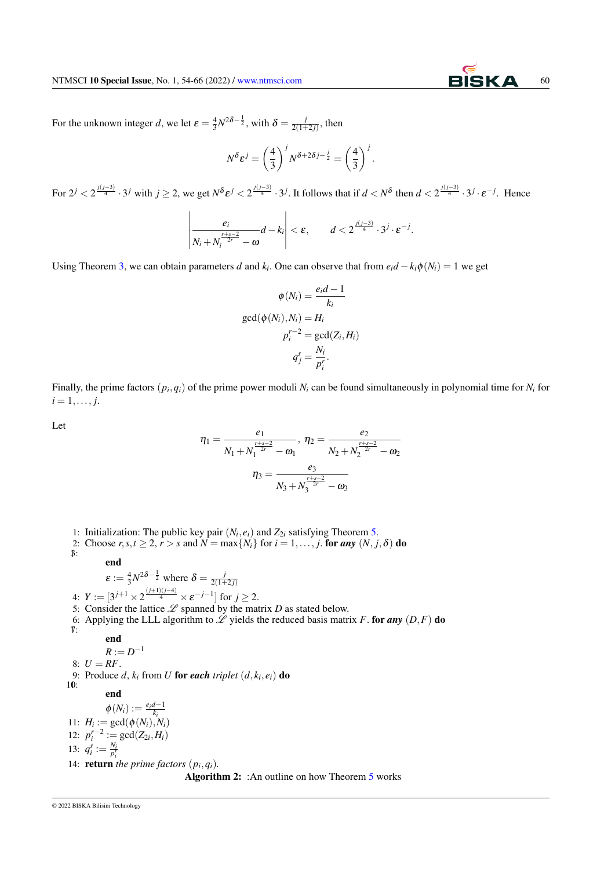For the unknown integer *d*, we let  $\varepsilon = \frac{4}{3}N^{2\delta - \frac{1}{2}}$ , with  $\delta = \frac{j}{2(1 + \frac{1}{2})^2}$  $\frac{J}{2(1+2j)}$ , then

$$
N^{\delta} \varepsilon^{j} = \left(\frac{4}{3}\right)^{j} N^{\delta + 2\delta j - \frac{j}{2}} = \left(\frac{4}{3}\right)^{j}.
$$

For  $2^j < 2^{\frac{j(j-3)}{4}} \cdot 3^j$  with  $j \ge 2$ , we get  $N^{\delta} \varepsilon^j < 2^{\frac{j(j-3)}{4}} \cdot 3^j$ . It follows that if  $d < N^{\delta}$  then  $d < 2^{\frac{j(j-3)}{4}} \cdot 3^j \cdot \varepsilon^{-j}$ . Hence

$$
\left|\frac{e_i}{N_i+N_i^{\frac{r+s-2}{2r}}-\omega}d-k_i\right|<\varepsilon,\qquad d<2^{\frac{j(j-3)}{4}}\cdot3^j\cdot\varepsilon^{-j}.
$$

Using Theorem [3,](#page-2-1) we can obtain parameters *d* and  $k_i$ . One can observe that from  $e_i d - k_i \phi(N_i) = 1$  we get

$$
\phi(N_i) = \frac{e_i d - 1}{k_i}
$$

$$
\gcd(\phi(N_i), N_i) = H_i
$$

$$
p_i^{r-2} = \gcd(Z_i, H_i)
$$

$$
q_j^s = \frac{N_i}{p_i^r}.
$$

Finally, the prime factors  $(p_i, q_i)$  of the prime power moduli  $N_i$  can be found simultaneously in polynomial time for  $N_i$  for  $i = 1, \ldots, j.$ 

Let

$$
\eta_1 = \frac{e_1}{N_1 + N_1^{\frac{r+s-2}{2r}} - \omega_1}, \ \eta_2 = \frac{e_2}{N_2 + N_2^{\frac{r+s-2}{2r}} - \omega_2}
$$

$$
\eta_3 = \frac{e_3}{N_3 + N_3^{\frac{r+s-2}{2r}} - \omega_3}
$$

<span id="page-6-0"></span>1: Initialization: The public key pair  $(N_i, e_i)$  and  $Z_{2i}$  satisfying Theorem [5.](#page-5-0) 2: Choose  $r, s, t \geq 2, r > s$  and  $N = \max\{N_i\}$  for  $i = 1, \ldots, j$ . for any  $(N, j, \delta)$  do 3: end  $\varepsilon := \frac{4}{3} N^{2\delta - \frac{1}{2}}$  where  $\delta = \frac{j}{2(1 + \frac{1}{2})^2}$  $2(1+2j)$ 4:  $Y := [3^{j+1} \times 2^{\frac{(j+1)(j-4)}{4}} \times \varepsilon^{-j-1}]$  for  $j \ge 2$ . 5: Consider the lattice  $\mathscr L$  spanned by the matrix  $D$  as stated below. 6: Applying the LLL algorithm to  $\mathscr L$  yields the reduced basis matrix *F*. for any  $(D, F)$  do 7: end  $R := D^{-1}$ 8:  $U = RF$ . 9: Produce  $d$ ,  $k_i$  from  $U$  for each *triplet*  $(d, k_i, e_i)$  do 10: end  $\phi(N_i) := \frac{e_i d - 1}{k_i}$ <br>11:  $H_i := \text{gcd}(\phi(N_i), N_i)$ 12:  $p_i^{r-2} := \gcd(Z_{2i}, H_i)$ 13:  $q_i^s := \frac{N_i}{p_i^r}$ 14: **return** the prime factors  $(p_i, q_i)$ . Algorithm 2: : An outline on how Theorem [5](#page-5-0) works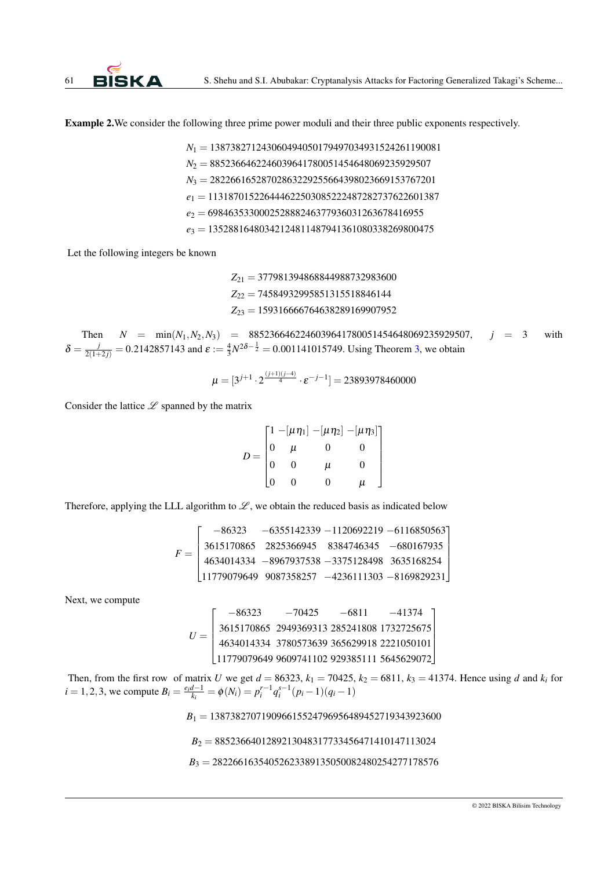Example 2.We consider the following three prime power moduli and their three public exponents respectively.

*N*<sup>1</sup> = 138738271243060494050179497034931524261190081 *N*<sup>2</sup> = 8852366462246039641780051454648069235929507 *N*<sup>3</sup> = 28226616528702863229255664398023669153767201 *e*<sup>1</sup> = 113187015226444622503085222487282737622601387 *e*<sup>2</sup> = 698463533000252888246377936031263678416955 *e*<sup>3</sup> = 13528816480342124811487941361080338269800475

Let the following integers be known

*Z*<sup>21</sup> = 377981394868844988732983600 *Z*<sup>22</sup> = 74584932995851315518846144 *Z*<sup>23</sup> = 159316666764638289169907952

Then  $N = \min(N_1, N_2, N_3) = 8852366462246039641780051454648069235929507$ ,  $j = 3$  with  $\delta = \frac{j}{2(1+2j)} = 0.2142857143$  and  $\varepsilon := \frac{4}{3}N^{2\delta - \frac{1}{2}} = 0.001141015749$ . Using Theorem [3,](#page-2-1) we obtain

$$
\mu = [3^{j+1} \cdot 2^{\frac{(j+1)(j-4)}{4}} \cdot \varepsilon^{-j-1}] = 23893978460000
$$

Consider the lattice  $\mathscr L$  spanned by the matrix

$$
D = \begin{bmatrix} 1 - [\mu \eta_1] - [\mu \eta_2] - [\mu \eta_3] \\ 0 & \mu & 0 & 0 \\ 0 & 0 & \mu & 0 \\ 0 & 0 & 0 & \mu \end{bmatrix}
$$

Therefore, applying the LLL algorithm to  $\mathscr{L}$ , we obtain the reduced basis as indicated below

$$
F = \left[\begin{array}{rrrr} -86323 & -6355142339 & -1120692219 & -6116850563 \\ 3615170865 & 2825366945 & 8384746345 & -680167935 \\ 4634014334 & -8967937538 & -3375128498 & 3635168254 \\ 11779079649 & 9087358257 & -4236111303 & -8169829231 \end{array}\right]
$$

Next, we compute

$$
U = \begin{bmatrix} -86323 & -70425 & -6811 & -41374 \\ 3615170865 & 2949369313 & 285241808 & 1732725675 \\ 4634014334 & 3780573639 & 365629918 & 2221050101 \\ 11779079649 & 9609741102 & 929385111 & 5645629072 \end{bmatrix}
$$

Then, from the first row of matrix *U* we get  $d = 86323$ ,  $k_1 = 70425$ ,  $k_2 = 6811$ ,  $k_3 = 41374$ . Hence using *d* and  $k_i$  for *i* = 1,2,3, we compute  $B_i = \frac{e_i d - 1}{k_i} = \phi(N_i) = p_i^{r-1} q_i^{s-1} (p_i - 1)(q_i - 1)$ 

*B*<sup>1</sup> = 138738270719096615524796956489452719343923600

$$
B_2 = 8852366401289213048317733456471410147113024
$$

*B*<sup>3</sup> = 28226616354052623389135050082480254277178576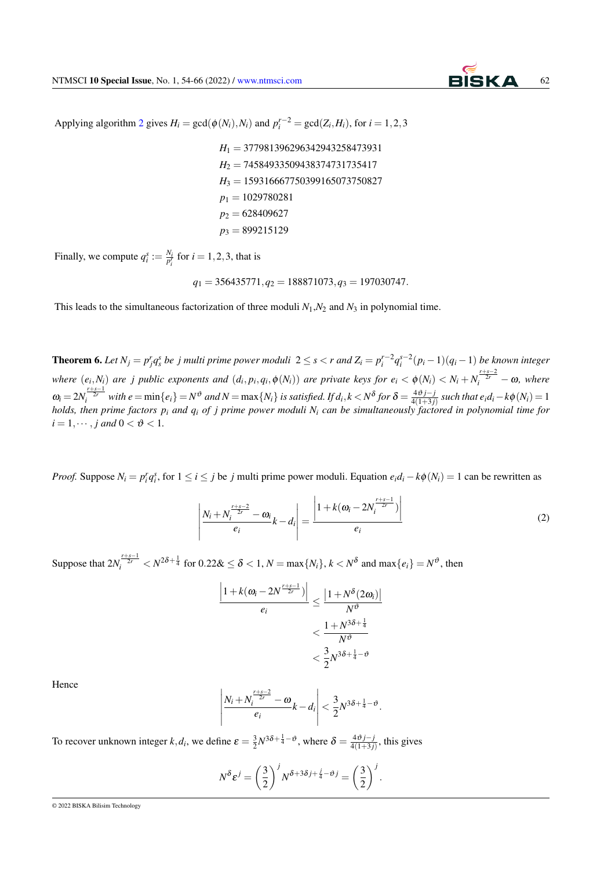

Applying algorithm [2](#page-6-0) gives  $H_i = \text{gcd}(\phi(N_i), N_i)$  and  $p_i^{r-2} = \text{gcd}(Z_i, H_i)$ , for  $i = 1, 2, 3$ 

*H*<sup>1</sup> = 377981396296342943258473931 *H*<sup>2</sup> = 74584933509438374731735417 *H*<sup>3</sup> = 159316667750399165073750827  $p_1 = 1029780281$ *p*<sup>2</sup> = 628409627 *p*<sup>3</sup> = 899215129

Finally, we compute  $q_i^s := \frac{N_i}{p_i^r}$  for  $i = 1, 2, 3$ , that is

 $q_1 = 356435771, q_2 = 188871073, q_3 = 197030747.$ 

This leads to the simultaneous factorization of three moduli  $N_1$ ,  $N_2$  and  $N_3$  in polynomial time.

<span id="page-8-0"></span>**Theorem 6.** Let  $N_j = p_j^r q_s^s$  be j multi prime power moduli  $2 \le s < r$  and  $Z_i = p_i^{r-2} q_i^{s-2} (p_i - 1)(q_i - 1)$  be known integer where  $(e_i, N_i)$  are j public exponents and  $(d_i, p_i, q_i, \phi(N_i))$  are private keys for  $e_i < \phi(N_i) < N_i + N_i^{\frac{r+s-2}{2r}} - \omega$ , where  $\omega_i = 2N_i^{\frac{r+s-1}{2r}}$  with  $e = \min\{e_i\} = N^{\vartheta}$  and  $N = \max\{N_i\}$  is satisfied. If  $d_i, k < N^{\delta}$  for  $\delta = \frac{4\vartheta j - j}{4(1+3j)}$  such that  $e_i d_i - k\phi(N_i) = 1$ *holds, then prime factors p<sup>i</sup> and q<sup>i</sup> of j prime power moduli N<sup>i</sup> can be simultaneously factored in polynomial time for*  $i = 1, \dots$ , *i* and  $0 < \vartheta < 1$ .

*Proof.* Suppose  $N_i = p_i^r q_i^s$ , for  $1 \le i \le j$  be j multi prime power moduli. Equation  $e_i d_i - k \phi(N_i) = 1$  can be rewritten as

$$
\left| \frac{N_i + N_i^{\frac{r+s-2}{2r}} - \omega_i}{e_i} k - d_i \right| = \frac{\left| 1 + k(\omega_i - 2N_i^{\frac{r+s-1}{2r}}) \right|}{e_i}
$$
(2)

Suppose that  $2N_i^{\frac{r+s-1}{2r}} < N^{2\delta + \frac{1}{4}}$  for  $0.22\& \le \delta < 1, N = \max\{N_i\}, k < N^{\delta}$  and  $\max\{e_i\} = N^{\vartheta}$ , then

$$
\frac{\left|1+k(\omega_i-2N^{\frac{r+s-1}{2r}})\right|}{e_i} \le \frac{\left|1+N^{\delta}(2\omega_i)\right|}{N^{\delta}}
$$

$$
< \frac{1+N^{3\delta+\frac{1}{4}}}{N^{\vartheta}}
$$

$$
< \frac{3}{2}N^{3\delta+\frac{1}{4}-\vartheta}
$$

Hence

$$
\left|\frac{N_i+N_i^{\frac{r+s-2}{2r}}-\omega}{e_i}k-d_i\right|<\frac{3}{2}N^{3\delta+\frac{1}{4}-\vartheta}.
$$

To recover unknown integer  $k, d_i$ , we define  $\varepsilon = \frac{3}{2}N^{3\delta + \frac{1}{4} - \vartheta}$ , where  $\delta = \frac{4\vartheta j - j}{4(1+3j)}$ , this gives

$$
N^{\delta} \varepsilon^{j} = \left(\frac{3}{2}\right)^{j} N^{\delta + 3\delta j + \frac{j}{4} - \vartheta j} = \left(\frac{3}{2}\right)^{j}.
$$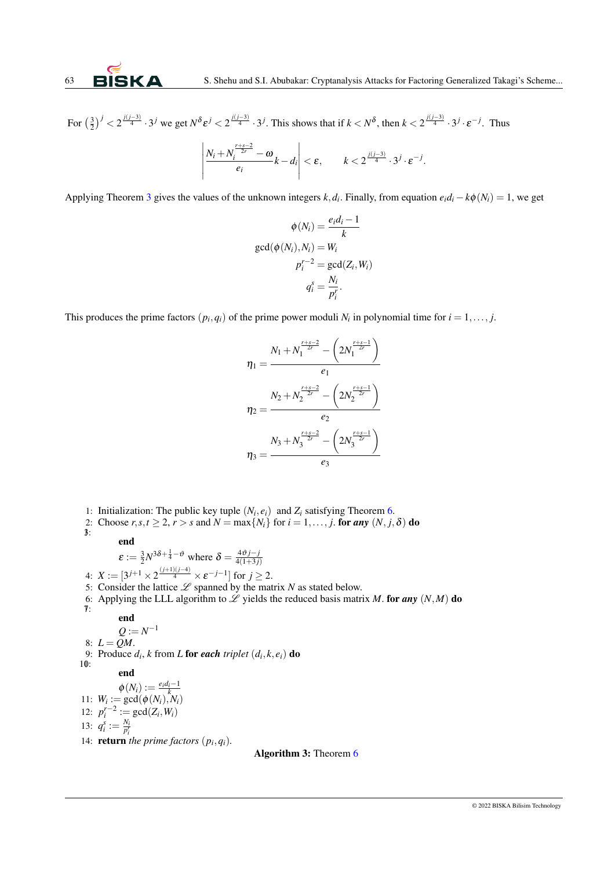For  $\left(\frac{3}{2}\right)^j < 2^{\frac{j(j-3)}{4}} \cdot 3^j$  we get  $N^{\delta} \varepsilon^j < 2^{\frac{j(j-3)}{4}} \cdot 3^j$ . This shows that if  $k < N^{\delta}$ , then  $k < 2^{\frac{j(j-3)}{4}} \cdot 3^j \cdot \varepsilon^{-j}$ . Thus

$$
\left|\frac{N_i+N_i^{\frac{r+s-2}{2r}}-\omega}{e_i}k-d_i\right|<\varepsilon,\qquad k<2^{\frac{j(j-3)}{4}}\cdot3^j\cdot\varepsilon^{-j}.
$$

Applying Theorem [3](#page-2-1) gives the values of the unknown integers  $k$ ,  $d_i$ . Finally, from equation  $e_i d_i - k\phi(N_i) = 1$ , we get

$$
\phi(N_i) = \frac{e_i d_i - 1}{k}
$$

$$
\gcd(\phi(N_i), N_i) = W_i
$$

$$
p_i^{r-2} = \gcd(Z_i, W_i)
$$

$$
q_i^s = \frac{N_i}{p_i^r}.
$$

This produces the prime factors  $(p_i, q_i)$  of the prime power moduli  $N_i$  in polynomial time for  $i = 1, \ldots, j$ .

$$
\eta_1 = \frac{N_1 + N_1^{\frac{r+s-2}{2r}} - \left(2N_1^{\frac{r+s-1}{2r}}\right)}{e_1}
$$
\n
$$
\eta_2 = \frac{N_2 + N_2^{\frac{r+s-2}{2r}} - \left(2N_2^{\frac{r+s-1}{2r}}\right)}{e_2}
$$
\n
$$
\eta_3 = \frac{N_3 + N_3^{\frac{r+s-2}{2r}} - \left(2N_3^{\frac{r+s-1}{2r}}\right)}{e_3}
$$

<span id="page-9-0"></span>1: Initialization: The public key tuple  $(N_i, e_i)$  and  $Z_i$  satisfying Theorem [6.](#page-8-0)

2: Choose  $r, s, t \geq 2, r > s$  and  $N = \max\{N_i\}$  for  $i = 1, \ldots, j$ . for any  $(N, j, \delta)$  do 3: end

$$
\varepsilon := \frac{3}{2} N^{3\delta + \frac{1}{4} - \vartheta}
$$
 where  $\delta = \frac{4\vartheta j - j}{4(1+3j)}$ 

4:  $X := [3^{j+1} \times 2^{\frac{(j+1)(j-4)}{4}} \times \varepsilon^{-j-1}]$  for  $j \ge 2$ .

5: Consider the lattice  $\mathscr L$  spanned by the matrix *N* as stated below.

6: Applying the LLL algorithm to  $\mathscr L$  yields the reduced basis matrix M. for any  $(N, M)$  do 7:

$$
\mathbf{end}
$$

 $Q := N^{-1}$ 

8:  $L = OM$ .

9: Produce  $d_i$ ,  $k$  from  $L$  for *each triplet*  $(d_i, k, e_i)$  do 10:

## end

 $\phi(N_i) := \frac{e_i d_i - 1}{k}$ <br>11:  $W_i := \gcd(\phi(N_i), N_i)$ 12:  $p_i^{r-2} := \gcd(Z_i, W_i)$ 13:  $q_i^s := \frac{N_i}{p_i^r}$ 14: **return** *the prime factors*  $(p_i, q_i)$ *.* 

Algorithm 3: Theorem [6](#page-8-0)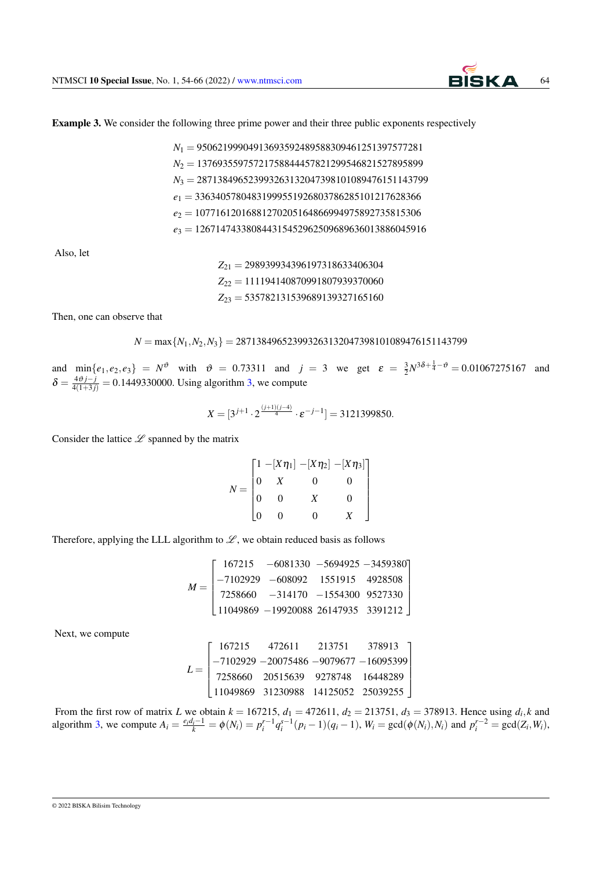Example 3. We consider the following three prime power and their three public exponents respectively

*N*<sup>1</sup> = 95062199904913693592489588309461251397577281 *N*<sup>2</sup> = 13769355975721758844457821299546821527895899 *N*<sup>3</sup> = 287138496523993263132047398101089476151143799 *e*<sup>1</sup> = 33634057804831999551926803786285101217628366 *e*<sup>2</sup> = 10771612016881270205164866994975892735815306 *e*<sup>3</sup> = 126714743380844315452962509689636013886045916

Also, let

*Z*<sup>21</sup> = 298939934396197318633406304 *Z*<sup>22</sup> = 111194140870991807939370060 *Z*<sup>23</sup> = 535782131539689139327165160

Then, one can observe that

*N* = max{*N*1,*N*2,*N*3} = 287138496523993263132047398101089476151143799

and  $\min\{e_1, e_2, e_3\} = N^{\vartheta}$  with  $\vartheta = 0.73311$  and  $j = 3$  we get  $\varepsilon = \frac{3}{2}N^{3\delta + \frac{1}{4} - \vartheta} = 0.01067275167$  and  $\delta = \frac{4\vartheta j - j}{4(1+3j)} = 0.1449330000$ . Using algorithm [3,](#page-9-0) we compute

$$
X = [3^{j+1} \cdot 2^{\frac{(j+1)(j-4)}{4}} \cdot \varepsilon^{-j-1}] = 3121399850.
$$

Consider the lattice  $\mathscr L$  spanned by the matrix

$$
N = \begin{bmatrix} 1 & -[X\eta_1] & -[X\eta_2] & -[X\eta_3] \\ 0 & X & 0 & 0 \\ 0 & 0 & X & 0 \\ 0 & 0 & 0 & X \end{bmatrix}
$$

Therefore, applying the LLL algorithm to  $\mathscr{L}$ , we obtain reduced basis as follows

$$
M = \begin{bmatrix} 167215 & -6081330 & -5694925 & -3459380 \\ -7102929 & -608092 & 1551915 & 4928508 \\ 7258660 & -314170 & -1554300 & 9527330 \\ 11049869 & -19920088 & 26147935 & 3391212 \end{bmatrix}
$$

Next, we compute

$$
L = \begin{bmatrix} 167215 & 472611 & 213751 & 378913 \\ -7102929 & -20075486 & -9079677 & -16095399 \\ 7258660 & 20515639 & 9278748 & 16448289 \\ 11049869 & 31230988 & 14125052 & 25039255 \end{bmatrix}
$$

From the first row of matrix *L* we obtain  $k = 167215$ ,  $d_1 = 472611$ ,  $d_2 = 213751$ ,  $d_3 = 378913$ . Hence using  $d_i, k$  and algorithm [3,](#page-9-0) we compute  $A_i = \frac{e_i d_i - 1}{k} = \phi(N_i) = p_i^{r-1} q_i^{s-1} (p_i - 1)(q_i - 1)$ ,  $W_i = \text{gcd}(\phi(N_i), N_i)$  and  $p_i^{r-2} = \text{gcd}(Z_i, W_i)$ ,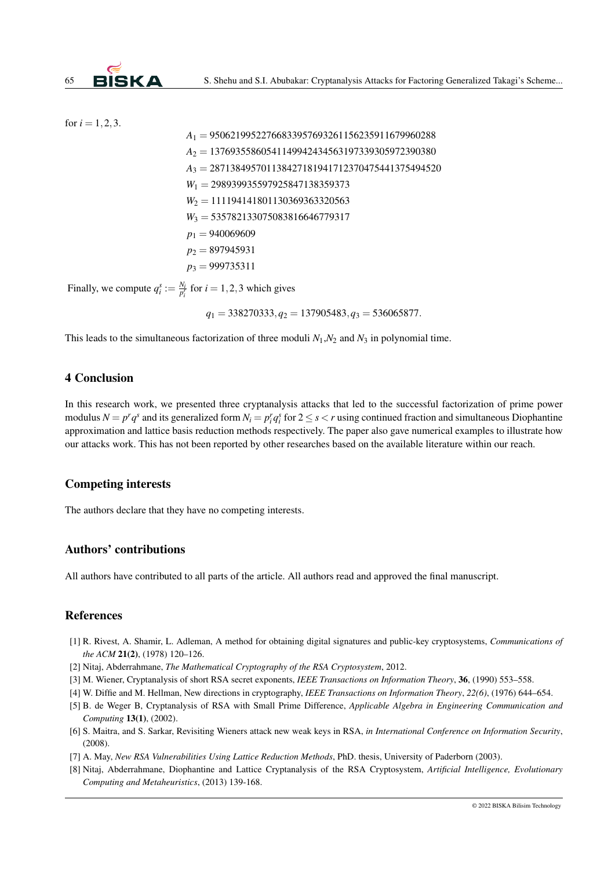for 
$$
i = 1, 2, 3
$$
.

$$
A_1 = 95062199522766833957693261156235911679960288
$$
  
\n
$$
A_2 = 13769355860541149942434563197339305972390380
$$
  
\n
$$
A_3 = 287138495701138427181941712370475441375494520
$$
  
\n
$$
W_1 = 298939935597925847138359373
$$
  
\n
$$
W_2 = 111194141801130369363320563
$$
  
\n
$$
W_3 = 535782133075083816646779317
$$
  
\n
$$
p_1 = 940069609
$$
  
\n
$$
p_2 = 897945931
$$
  
\n
$$
p_3 = 999735311
$$
  
\nFinally, we compute  $q_i^s := \frac{N_i}{p_i^s}$  for  $i = 1, 2, 3$  which gives

*q*<sup>1</sup> = 338270333,*q*<sup>2</sup> = 137905483,*q*<sup>3</sup> = 536065877.

This leads to the simultaneous factorization of three moduli  $N_1$ , $N_2$  and  $N_3$  in polynomial time.

## <span id="page-11-7"></span>4 Conclusion

In this research work, we presented three cryptanalysis attacks that led to the successful factorization of prime power modulus  $N = p^r q^s$  and its generalized form  $N_i = p_i^r q_i^s$  for  $2 \le s < r$  using continued fraction and simultaneous Diophantine approximation and lattice basis reduction methods respectively. The paper also gave numerical examples to illustrate how our attacks work. This has not been reported by other researches based on the available literature within our reach.

#### Competing interests

The authors declare that they have no competing interests.

### Authors' contributions

All authors have contributed to all parts of the article. All authors read and approved the final manuscript.

#### References

- <span id="page-11-0"></span>[1] R. Rivest, A. Shamir, L. Adleman, A method for obtaining digital signatures and public-key cryptosystems, *Communications of the ACM* 21(2), (1978) 120–126.
- <span id="page-11-1"></span>[2] Nitaj, Abderrahmane, *The Mathematical Cryptography of the RSA Cryptosystem*, 2012.
- <span id="page-11-2"></span>[3] M. Wiener, Cryptanalysis of short RSA secret exponents, *IEEE Transactions on Information Theory*, 36, (1990) 553–558.
- [4] W. Diffie and M. Hellman, New directions in cryptography, *IEEE Transactions on Information Theory*, *22(6)*, (1976) 644–654.
- <span id="page-11-3"></span>[5] B. de Weger B, Cryptanalysis of RSA with Small Prime Difference, *Applicable Algebra in Engineering Communication and Computing* 13(1), (2002).
- <span id="page-11-4"></span>[6] S. Maitra, and S. Sarkar, Revisiting Wieners attack new weak keys in RSA, *in International Conference on Information Security*, (2008).
- <span id="page-11-5"></span>[7] A. May, *New RSA Vulnerabilities Using Lattice Reduction Methods*, PhD. thesis, University of Paderborn (2003).
- <span id="page-11-6"></span>[8] Nitaj, Abderrahmane, Diophantine and Lattice Cryptanalysis of the RSA Cryptosystem, *Artificial Intelligence, Evolutionary Computing and Metaheuristics*, (2013) 139-168.